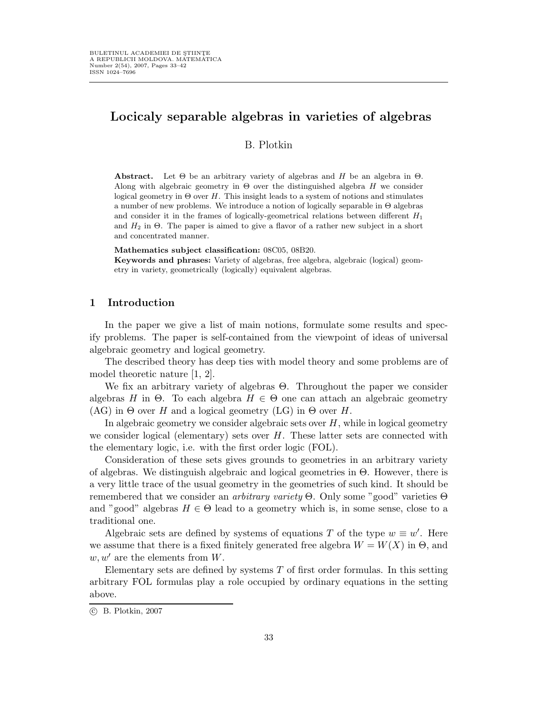# Locicaly separable algebras in varieties of algebras

# B. Plotkin

**Abstract.** Let  $\Theta$  be an arbitrary variety of algebras and H be an algebra in  $\Theta$ . Along with algebraic geometry in  $\Theta$  over the distinguished algebra H we consider logical geometry in  $\Theta$  over H. This insight leads to a system of notions and stimulates a number of new problems. We introduce a notion of logically separable in  $\Theta$  algebras and consider it in the frames of logically-geometrical relations between different  $H_1$ and  $H_2$  in  $\Theta$ . The paper is aimed to give a flavor of a rather new subject in a short and concentrated manner.

Mathematics subject classification: 08C05, 08B20.

Keywords and phrases: Variety of algebras, free algebra, algebraic (logical) geometry in variety, geometrically (logically) equivalent algebras.

## 1 Introduction

In the paper we give a list of main notions, formulate some results and specify problems. The paper is self-contained from the viewpoint of ideas of universal algebraic geometry and logical geometry.

The described theory has deep ties with model theory and some problems are of model theoretic nature [1, 2].

We fix an arbitrary variety of algebras Θ. Throughout the paper we consider algebras H in Θ. To each algebra  $H \in \Theta$  one can attach an algebraic geometry  $(AG)$  in  $\Theta$  over H and a logical geometry  $(LG)$  in  $\Theta$  over H.

In algebraic geometry we consider algebraic sets over  $H$ , while in logical geometry we consider logical (elementary) sets over  $H$ . These latter sets are connected with the elementary logic, i.e. with the first order logic (FOL).

Consideration of these sets gives grounds to geometries in an arbitrary variety of algebras. We distinguish algebraic and logical geometries in Θ. However, there is a very little trace of the usual geometry in the geometries of such kind. It should be remembered that we consider an *arbitrary variety*  $\Theta$ . Only some "good" varieties  $\Theta$ and "good" algebras  $H \in \Theta$  lead to a geometry which is, in some sense, close to a traditional one.

Algebraic sets are defined by systems of equations T of the type  $w \equiv w'$ . Here we assume that there is a fixed finitely generated free algebra  $W = W(X)$  in  $\Theta$ , and  $w, w'$  are the elements from W.

Elementary sets are defined by systems  $T$  of first order formulas. In this setting arbitrary FOL formulas play a role occupied by ordinary equations in the setting above.

c B. Plotkin, 2007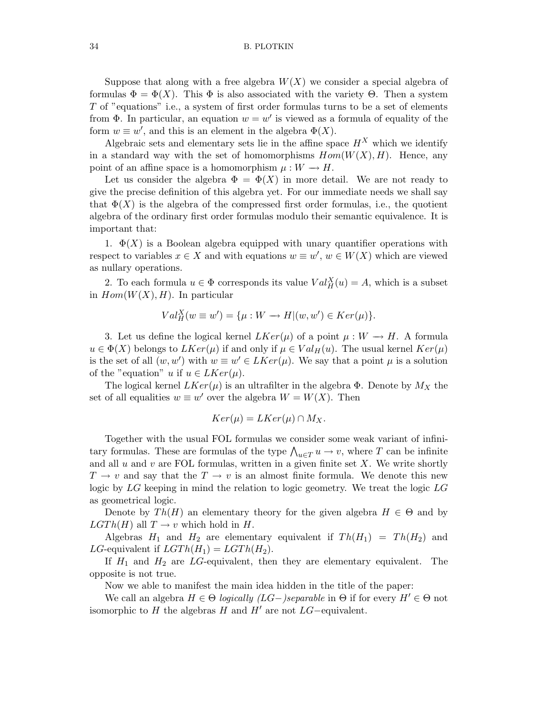#### 34 B. PLOTKIN

Suppose that along with a free algebra  $W(X)$  we consider a special algebra of formulas  $\Phi = \Phi(X)$ . This  $\Phi$  is also associated with the variety  $\Theta$ . Then a system T of "equations" i.e., a system of first order formulas turns to be a set of elements from  $\Phi$ . In particular, an equation  $w = w'$  is viewed as a formula of equality of the form  $w \equiv w'$ , and this is an element in the algebra  $\Phi(X)$ .

Algebraic sets and elementary sets lie in the affine space  $H^X$  which we identify in a standard way with the set of homomorphisms  $Hom(W(X), H)$ . Hence, any point of an affine space is a homomorphism  $\mu : W \to H$ .

Let us consider the algebra  $\Phi = \Phi(X)$  in more detail. We are not ready to give the precise definition of this algebra yet. For our immediate needs we shall say that  $\Phi(X)$  is the algebra of the compressed first order formulas, i.e., the quotient algebra of the ordinary first order formulas modulo their semantic equivalence. It is important that:

1.  $\Phi(X)$  is a Boolean algebra equipped with unary quantifier operations with respect to variables  $x \in X$  and with equations  $w \equiv w'$ ,  $w \in W(X)$  which are viewed as nullary operations.

2. To each formula  $u \in \Phi$  corresponds its value  $Val_H^X(u) = A$ , which is a subset in  $Hom(W(X), H)$ . In particular

$$
Val_H^X(w \equiv w') = \{\mu : W \longrightarrow H | (w, w') \in Ker(\mu) \}.
$$

3. Let us define the logical kernel  $LKer(\mu)$  of a point  $\mu: W \to H$ . A formula  $u \in \Phi(X)$  belongs to  $LKer(\mu)$  if and only if  $\mu \in Val_H(u)$ . The usual kernel  $Ker(\mu)$ is the set of all  $(w, w')$  with  $w \equiv w' \in LKer(\mu)$ . We say that a point  $\mu$  is a solution of the "equation" u if  $u \in LKer(\mu)$ .

The logical kernel  $LKer(\mu)$  is an ultrafilter in the algebra  $\Phi$ . Denote by  $M_X$  the set of all equalities  $w \equiv w'$  over the algebra  $W = W(X)$ . Then

$$
Ker(\mu) = LKer(\mu) \cap M_X.
$$

Together with the usual FOL formulas we consider some weak variant of infinitary formulas. These are formulas of the type  $\bigwedge_{u \in T} u \to v$ , where T can be infinite and all  $u$  and  $v$  are FOL formulas, written in a given finite set  $X$ . We write shortly  $T \to v$  and say that the  $T \to v$  is an almost finite formula. We denote this new logic by LG keeping in mind the relation to logic geometry. We treat the logic LG as geometrical logic.

Denote by  $Th(H)$  an elementary theory for the given algebra  $H \in \Theta$  and by  $LGTh(H)$  all  $T \rightarrow v$  which hold in H.

Algebras  $H_1$  and  $H_2$  are elementary equivalent if  $Th(H_1) = Th(H_2)$  and LG-equivalent if  $LGTh(H_1) = LGTh(H_2)$ .

If  $H_1$  and  $H_2$  are LG-equivalent, then they are elementary equivalent. The opposite is not true.

Now we able to manifest the main idea hidden in the title of the paper:

We call an algebra  $H \in \Theta$  logically (LG-)separable in  $\Theta$  if for every  $H' \in \Theta$  not isomorphic to H the algebras H and  $H'$  are not  $LG$ –equivalent.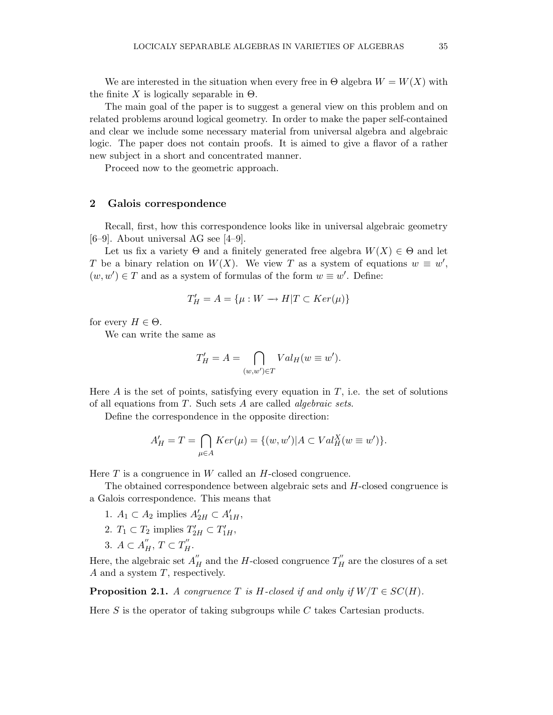We are interested in the situation when every free in  $\Theta$  algebra  $W = W(X)$  with the finite X is logically separable in  $\Theta$ .

The main goal of the paper is to suggest a general view on this problem and on related problems around logical geometry. In order to make the paper self-contained and clear we include some necessary material from universal algebra and algebraic logic. The paper does not contain proofs. It is aimed to give a flavor of a rather new subject in a short and concentrated manner.

Proceed now to the geometric approach.

## 2 Galois correspondence

Recall, first, how this correspondence looks like in universal algebraic geometry  $[6-9]$ . About universal AG see  $[4-9]$ .

Let us fix a variety  $\Theta$  and a finitely generated free algebra  $W(X) \in \Theta$  and let T be a binary relation on  $W(X)$ . We view T as a system of equations  $w \equiv w'$ ,  $(w, w') \in T$  and as a system of formulas of the form  $w \equiv w'$ . Define:

$$
T'_H = A = \{ \mu : W \to H | T \subset Ker(\mu) \}
$$

for every  $H \in \Theta$ .

We can write the same as

$$
T'_H = A = \bigcap_{(w,w') \in T} Val_H(w \equiv w').
$$

Here  $A$  is the set of points, satisfying every equation in  $T$ , i.e. the set of solutions of all equations from  $T$ . Such sets  $A$  are called *algebraic sets*.

Define the correspondence in the opposite direction:

$$
A'_H = T = \bigcap_{\mu \in A} Ker(\mu) = \{(w, w') | A \subset Val_H^X(w \equiv w')\}.
$$

Here  $T$  is a congruence in  $W$  called an  $H$ -closed congruence.

The obtained correspondence between algebraic sets and H-closed congruence is a Galois correspondence. This means that

- 1.  $A_1 \subset A_2$  implies  $A'_{2H} \subset A'_{1H}$ ,
- 2.  $T_1 \subset T_2$  implies  $T'_{2H} \subset T'_{1H}$ ,
- 3.  $A \subset A''_H$ ,  $T \subset T''_H$ .

Here, the algebraic set  $A''_H$  and the H-closed congruence  $T''_H$  are the closures of a set  $A$  and a system  $T$ , respectively.

**Proposition 2.1.** A congruence T is H-closed if and only if  $W/T \in SC(H)$ .

Here  $S$  is the operator of taking subgroups while  $C$  takes Cartesian products.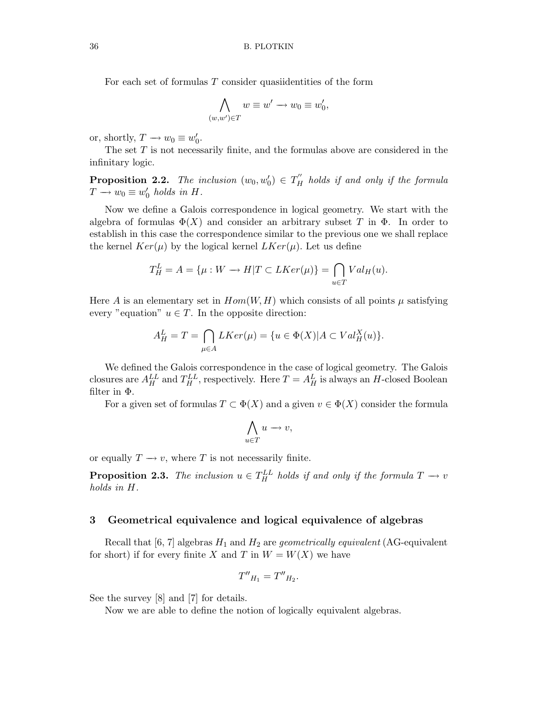For each set of formulas  $T$  consider quasiidentities of the form

$$
\bigwedge_{(w,w')\in T} w\equiv w'\rightarrow w_0\equiv w'_0,
$$

or, shortly,  $T \to w_0 \equiv w'_0$  $_{0}^{\prime}$ .

The set  $T$  is not necessarily finite, and the formulas above are considered in the infinitary logic.

**Proposition 2.2.** The inclusion  $(w_0, w'_0) \in T''_H$  holds if and only if the formula  $T \longrightarrow w_0 \equiv w'_0$  $\int_0'$  holds in H.

Now we define a Galois correspondence in logical geometry. We start with the algebra of formulas  $\Phi(X)$  and consider an arbitrary subset T in  $\Phi$ . In order to establish in this case the correspondence similar to the previous one we shall replace the kernel  $Ker(\mu)$  by the logical kernel  $LKer(\mu)$ . Let us define

$$
T_H^L = A = \{ \mu : W \to H | T \subset LKer(\mu) \} = \bigcap_{u \in T} Val_H(u).
$$

Here A is an elementary set in  $Hom(W, H)$  which consists of all points  $\mu$  satisfying every "equation"  $u \in T$ . In the opposite direction:

$$
A_H^L = T = \bigcap_{\mu \in A} LKer(\mu) = \{ u \in \Phi(X) | A \subset Val_H^X(u) \}.
$$

We defined the Galois correspondence in the case of logical geometry. The Galois closures are  $A_H^{LL}$  and  $T_H^{LL}$ , respectively. Here  $T = A_H^L$  is always an H-closed Boolean filter in Φ.

For a given set of formulas  $T \subset \Phi(X)$  and a given  $v \in \Phi(X)$  consider the formula

$$
\bigwedge_{u \in T} u \to v,
$$

or equally  $T \to v$ , where T is not necessarily finite.

**Proposition 2.3.** The inclusion  $u \in T_H^{LL}$  holds if and only if the formula  $T \to v$ holds in H.

## 3 Geometrical equivalence and logical equivalence of algebras

Recall that [6, 7] algebras  $H_1$  and  $H_2$  are *geometrically equivalent* (AG-equivalent for short) if for every finite X and T in  $W = W(X)$  we have

$$
T''_{H_1} = T''_{H_2}.
$$

See the survey [8] and [7] for details.

Now we are able to define the notion of logically equivalent algebras.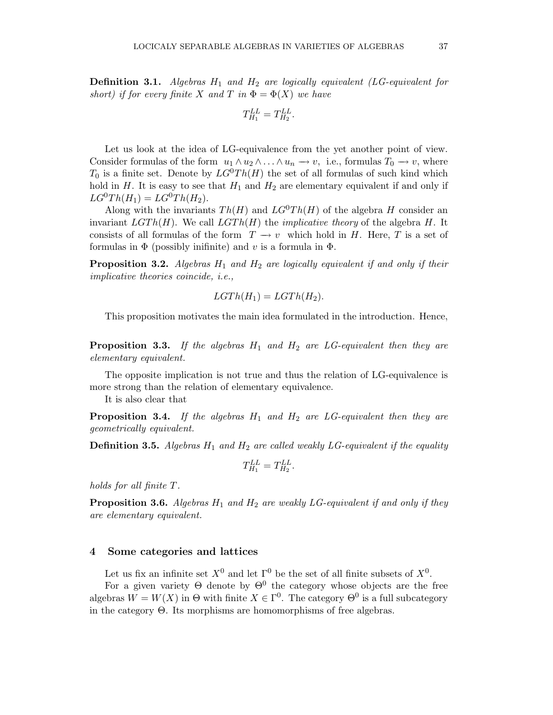**Definition 3.1.** Algebras  $H_1$  and  $H_2$  are logically equivalent (LG-equivalent for short) if for every finite X and T in  $\Phi = \Phi(X)$  we have

$$
T_{H_1}^{LL}=T_{H_2}^{LL}.
$$

Let us look at the idea of LG-equivalence from the yet another point of view. Consider formulas of the form  $u_1 \wedge u_2 \wedge \ldots \wedge u_n \longrightarrow v$ , i.e., formulas  $T_0 \longrightarrow v$ , where  $T_0$  is a finite set. Denote by  $LG^0Th(H)$  the set of all formulas of such kind which hold in  $H$ . It is easy to see that  $H_1$  and  $H_2$  are elementary equivalent if and only if  $LG^{0}Th(H_{1}) = LG^{0}Th(H_{2}).$ 

Along with the invariants  $Th(H)$  and  $LG^{0}Th(H)$  of the algebra H consider an invariant  $LGTh(H)$ . We call  $LGTh(H)$  the *implicative theory* of the algebra H. It consists of all formulas of the form  $T \to v$  which hold in H. Here, T is a set of formulas in  $\Phi$  (possibly inifinite) and v is a formula in  $\Phi$ .

**Proposition 3.2.** Algebras  $H_1$  and  $H_2$  are logically equivalent if and only if their implicative theories coincide, i.e.,

$$
LGTh(H_1) = LGTh(H_2).
$$

This proposition motivates the main idea formulated in the introduction. Hence,

**Proposition 3.3.** If the algebras  $H_1$  and  $H_2$  are LG-equivalent then they are elementary equivalent.

The opposite implication is not true and thus the relation of LG-equivalence is more strong than the relation of elementary equivalence.

It is also clear that

**Proposition 3.4.** If the algebras  $H_1$  and  $H_2$  are LG-equivalent then they are geometrically equivalent.

**Definition 3.5.** Algebras  $H_1$  and  $H_2$  are called weakly LG-equivalent if the equality

$$
T_{H_1}^{LL} = T_{H_2}^{LL}.
$$

holds for all finite T.

**Proposition 3.6.** Algebras  $H_1$  and  $H_2$  are weakly LG-equivalent if and only if they are elementary equivalent.

### 4 Some categories and lattices

Let us fix an infinite set  $X^0$  and let  $\Gamma^0$  be the set of all finite subsets of  $X^0$ .

For a given variety  $\Theta$  denote by  $\Theta^0$  the category whose objects are the free algebras  $W = W(X)$  in  $\Theta$  with finite  $X \in \Gamma^0$ . The category  $\Theta^0$  is a full subcategory in the category Θ. Its morphisms are homomorphisms of free algebras.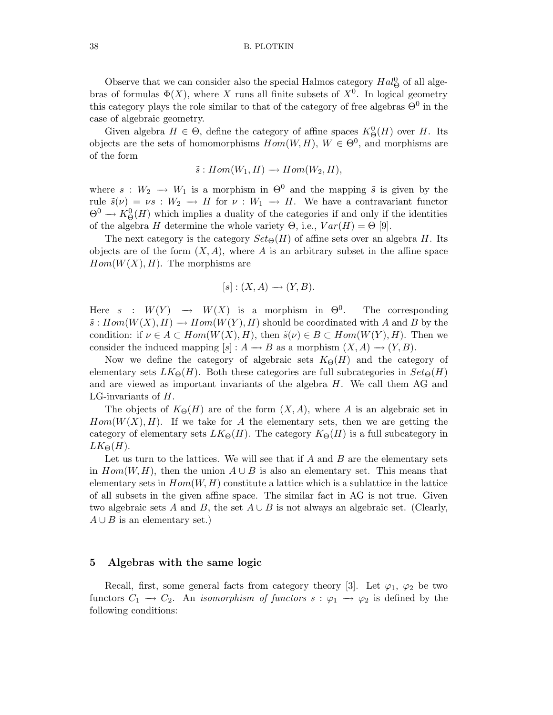#### 38 B. PLOTKIN

Observe that we can consider also the special Halmos category  $Hal^0_{\Theta}$  of all algebras of formulas  $\Phi(X)$ , where X runs all finite subsets of  $X^0$ . In logical geometry this category plays the role similar to that of the category of free algebras  $\Theta^0$  in the case of algebraic geometry.

Given algebra  $H \in \Theta$ , define the category of affine spaces  $K^0_{\Theta}(H)$  over H. Its objects are the sets of homomorphisms  $Hom(W, H)$ ,  $W \in \Theta^0$ , and morphisms are of the form

$$
\tilde{s}: Hom(W_1, H) \longrightarrow Hom(W_2, H),
$$

where  $s : W_2 \longrightarrow W_1$  is a morphism in  $\Theta^0$  and the mapping  $\tilde{s}$  is given by the rule  $\tilde{s}(\nu) = \nu s : W_2 \to H$  for  $\nu : W_1 \to H$ . We have a contravariant functor  $\Theta^0 \to K^0_\Theta(H)$  which implies a duality of the categories if and only if the identities of the algebra H determine the whole variety  $\Theta$ , i.e.,  $Var(H) = \Theta$  [9].

The next category is the category  $Set_{\Theta}(H)$  of affine sets over an algebra H. Its objects are of the form  $(X, A)$ , where A is an arbitrary subset in the affine space  $Hom(W(X), H)$ . The morphisms are

$$
[s] : (X, A) \longrightarrow (Y, B).
$$

Here  $s : W(Y) \rightarrow W(X)$  is a morphism in  $\Theta^0$ . . The corresponding  $\tilde{s}: Hom(W(X), H) \longrightarrow Hom(W(Y), H)$  should be coordinated with A and B by the condition: if  $\nu \in A \subset Hom(W(X), H)$ , then  $\tilde{s}(\nu) \in B \subset Hom(W(Y), H)$ . Then we consider the induced mapping  $[s] : A \to B$  as a morphism  $(X, A) \to (Y, B)$ .

Now we define the category of algebraic sets  $K_{\Theta}(H)$  and the category of elementary sets  $LK_{\Theta}(H)$ . Both these categories are full subcategories in  $Set_{\Theta}(H)$ and are viewed as important invariants of the algebra H. We call them AG and LG-invariants of H.

The objects of  $K_{\Theta}(H)$  are of the form  $(X, A)$ , where A is an algebraic set in  $Hom(W(X), H)$ . If we take for A the elementary sets, then we are getting the category of elementary sets  $LK_{\Theta}(H)$ . The category  $K_{\Theta}(H)$  is a full subcategory in  $LK_{\Theta}(H)$ .

Let us turn to the lattices. We will see that if  $A$  and  $B$  are the elementary sets in  $Hom(W, H)$ , then the union  $A \cup B$  is also an elementary set. This means that elementary sets in  $Hom(W, H)$  constitute a lattice which is a sublattice in the lattice of all subsets in the given affine space. The similar fact in AG is not true. Given two algebraic sets A and B, the set  $A \cup B$  is not always an algebraic set. (Clearly,  $A \cup B$  is an elementary set.)

### 5 Algebras with the same logic

Recall, first, some general facts from category theory [3]. Let  $\varphi_1$ ,  $\varphi_2$  be two functors  $C_1 \rightarrow C_2$ . An *isomorphism of functors s* :  $\varphi_1 \rightarrow \varphi_2$  is defined by the following conditions: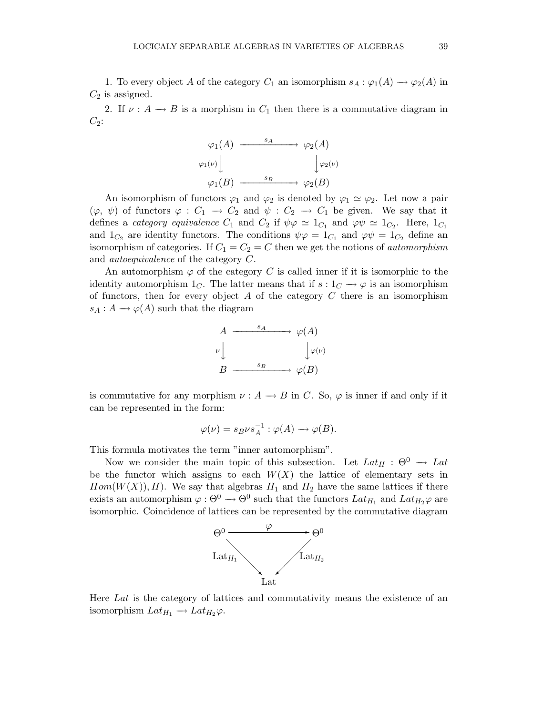1. To every object A of the category  $C_1$  an isomorphism  $s_A : \varphi_1(A) \to \varphi_2(A)$  in  $C_2$  is assigned.

2. If  $\nu : A \longrightarrow B$  is a morphism in  $C_1$  then there is a commutative diagram in  $C_2$ :

$$
\varphi_1(A) \xrightarrow{s_A} \varphi_2(A)
$$
  

$$
\varphi_1(\nu) \downarrow \qquad \qquad \downarrow \varphi_2(\nu)
$$
  

$$
\varphi_1(B) \xrightarrow{s_B} \varphi_2(B)
$$

An isomorphism of functors  $\varphi_1$  and  $\varphi_2$  is denoted by  $\varphi_1 \simeq \varphi_2$ . Let now a pair  $(\varphi, \psi)$  of functors  $\varphi : C_1 \to C_2$  and  $\psi : C_2 \to C_1$  be given. We say that it defines a *category equivalence*  $C_1$  and  $C_2$  if  $\psi \varphi \simeq 1_{C_1}$  and  $\varphi \psi \simeq 1_{C_2}$ . Here,  $1_{C_1}$ and  $1_{C_2}$  are identity functors. The conditions  $\psi \varphi = 1_{C_1}$  and  $\varphi \psi = 1_{C_2}$  define an isomorphism of categories. If  $C_1 = C_2 = C$  then we get the notions of *automorphism* and autoequivalence of the category C.

An automorphism  $\varphi$  of the category C is called inner if it is isomorphic to the identity automorphism  $1<sub>C</sub>$ . The latter means that if  $s: 1<sub>C</sub> \rightarrow \varphi$  is an isomorphism of functors, then for every object  $A$  of the category  $C$  there is an isomorphism  $s_A : A \longrightarrow \varphi(A)$  such that the diagram



is commutative for any morphism  $\nu : A \to B$  in C. So,  $\varphi$  is inner if and only if it can be represented in the form:

$$
\varphi(\nu) = s_B \nu s_A^{-1} : \varphi(A) \longrightarrow \varphi(B).
$$

This formula motivates the term "inner automorphism".

Now we consider the main topic of this subsection. Let  $Lat_H : \Theta^0 \to Lat$ be the functor which assigns to each  $W(X)$  the lattice of elementary sets in  $Hom(W(X)), H$ ). We say that algebras  $H_1$  and  $H_2$  have the same lattices if there exists an automorphism  $\varphi: \Theta^0 \to \Theta^0$  such that the functors  $Lat_{H_1}$  and  $Lat_{H_2}\varphi$  are isomorphic. Coincidence of lattices can be represented by the commutative diagram



Here Lat is the category of lattices and commutativity means the existence of an isomorphism  $Lat_{H_1} \rightarrow Lat_{H_2}\varphi$ .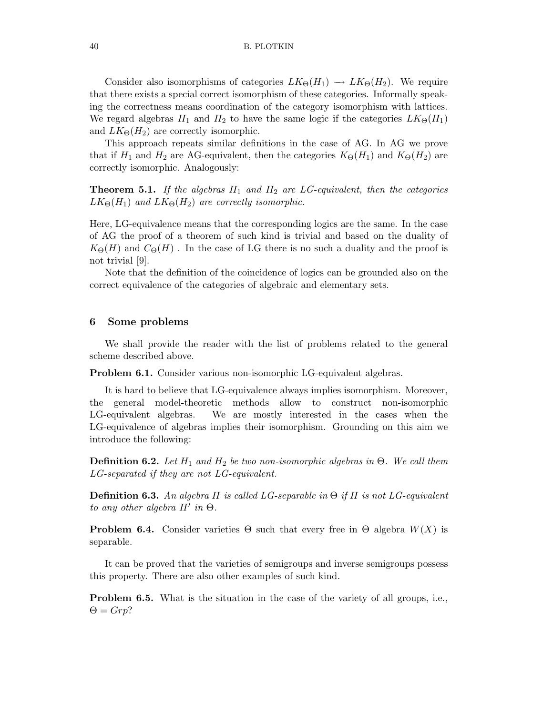Consider also isomorphisms of categories  $LK_{\Theta}(H_1) \rightarrow LK_{\Theta}(H_2)$ . We require that there exists a special correct isomorphism of these categories. Informally speaking the correctness means coordination of the category isomorphism with lattices. We regard algebras  $H_1$  and  $H_2$  to have the same logic if the categories  $LK_{\Theta}(H_1)$ and  $LK_{\Theta}(H_2)$  are correctly isomorphic.

This approach repeats similar definitions in the case of AG. In AG we prove that if  $H_1$  and  $H_2$  are AG-equivalent, then the categories  $K_{\Theta}(H_1)$  and  $K_{\Theta}(H_2)$  are correctly isomorphic. Analogously:

**Theorem 5.1.** If the algebras  $H_1$  and  $H_2$  are LG-equivalent, then the categories  $LK_{\Theta}(H_1)$  and  $LK_{\Theta}(H_2)$  are correctly isomorphic.

Here, LG-equivalence means that the corresponding logics are the same. In the case of AG the proof of a theorem of such kind is trivial and based on the duality of  $K_{\Theta}(H)$  and  $C_{\Theta}(H)$ . In the case of LG there is no such a duality and the proof is not trivial [9].

Note that the definition of the coincidence of logics can be grounded also on the correct equivalence of the categories of algebraic and elementary sets.

### 6 Some problems

We shall provide the reader with the list of problems related to the general scheme described above.

Problem 6.1. Consider various non-isomorphic LG-equivalent algebras.

It is hard to believe that LG-equivalence always implies isomorphism. Moreover, the general model-theoretic methods allow to construct non-isomorphic LG-equivalent algebras. We are mostly interested in the cases when the LG-equivalence of algebras implies their isomorphism. Grounding on this aim we introduce the following:

**Definition 6.2.** Let  $H_1$  and  $H_2$  be two non-isomorphic algebras in  $\Theta$ . We call them LG-separated if they are not LG-equivalent.

**Definition 6.3.** An algebra H is called LG-separable in  $\Theta$  if H is not LG-equivalent to any other algebra  $H'$  in  $\Theta$ .

**Problem 6.4.** Consider varieties  $\Theta$  such that every free in  $\Theta$  algebra  $W(X)$  is separable.

It can be proved that the varieties of semigroups and inverse semigroups possess this property. There are also other examples of such kind.

Problem 6.5. What is the situation in the case of the variety of all groups, i.e.,  $\Theta = Grp?$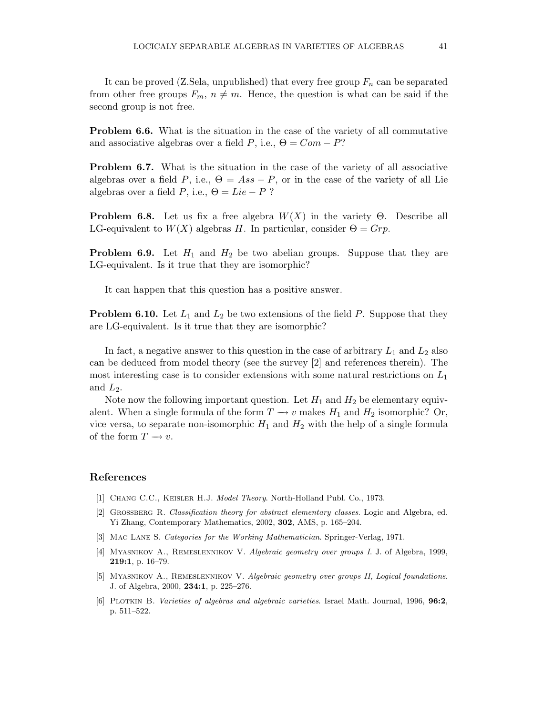It can be proved (Z.Sela, unpublished) that every free group  $F_n$  can be separated from other free groups  $F_m$ ,  $n \neq m$ . Hence, the question is what can be said if the second group is not free.

Problem 6.6. What is the situation in the case of the variety of all commutative and associative algebras over a field P, i.e.,  $\Theta = Com - P?$ 

Problem 6.7. What is the situation in the case of the variety of all associative algebras over a field P, i.e.,  $\Theta = Ass - P$ , or in the case of the variety of all Lie algebras over a field P, i.e.,  $\Theta = Lie - P$ ?

**Problem 6.8.** Let us fix a free algebra  $W(X)$  in the variety  $\Theta$ . Describe all LG-equivalent to  $W(X)$  algebras H. In particular, consider  $\Theta = Grp$ .

**Problem 6.9.** Let  $H_1$  and  $H_2$  be two abelian groups. Suppose that they are LG-equivalent. Is it true that they are isomorphic?

It can happen that this question has a positive answer.

**Problem 6.10.** Let  $L_1$  and  $L_2$  be two extensions of the field P. Suppose that they are LG-equivalent. Is it true that they are isomorphic?

In fact, a negative answer to this question in the case of arbitrary  $L_1$  and  $L_2$  also can be deduced from model theory (see the survey [2] and references therein). The most interesting case is to consider extensions with some natural restrictions on  $L_1$ and  $L_2$ .

Note now the following important question. Let  $H_1$  and  $H_2$  be elementary equivalent. When a single formula of the form  $T \to v$  makes  $H_1$  and  $H_2$  isomorphic? Or, vice versa, to separate non-isomorphic  $H_1$  and  $H_2$  with the help of a single formula of the form  $T \rightarrow v$ .

## References

- [1] Chang C.C., Keisler H.J. Model Theory. North-Holland Publ. Co., 1973.
- [2] Grossberg R. Classification theory for abstract elementary classes. Logic and Algebra, ed. Yi Zhang, Contemporary Mathematics, 2002, 302, AMS, p. 165–204.
- [3] Mac Lane S. Categories for the Working Mathematician. Springer-Verlag, 1971.
- [4] MYASNIKOV A., REMESLENNIKOV V. Algebraic geometry over groups I. J. of Algebra, 1999, 219:1, p. 16–79.
- [5] Myasnikov A., Remeslennikov V. Algebraic geometry over groups II, Logical foundations. J. of Algebra, 2000, 234:1, p. 225–276.
- [6] PLOTKIN B. Varieties of algebras and algebraic varieties. Israel Math. Journal, 1996, 96:2, p. 511–522.